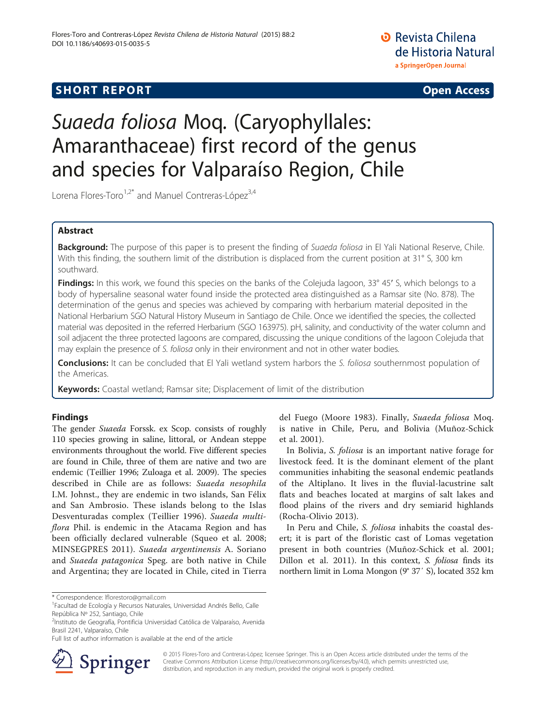**SHORT REPORT SHORT CONSTRUCTED AT A SEXUAL CONSTRUCT OF A SEXUAL CONSTRUCTION OPEN Access** 

**D** Revista Chilena de Historia Natural a SpringerOpen Journal

# Suaeda foliosa Moq. (Caryophyllales: Amaranthaceae) first record of the genus and species for Valparaíso Region, Chile

Lorena Flores-Toro $1.2^*$  and Manuel Contreras-López $3.4$ 

## Abstract

Background: The purpose of this paper is to present the finding of Suaeda foliosa in El Yali National Reserve, Chile. With this finding, the southern limit of the distribution is displaced from the current position at 31° S, 300 km southward.

**Findings:** In this work, we found this species on the banks of the Colejuda lagoon, 33° 45' S, which belongs to a body of hypersaline seasonal water found inside the protected area distinguished as a Ramsar site (No. 878). The determination of the genus and species was achieved by comparing with herbarium material deposited in the National Herbarium SGO Natural History Museum in Santiago de Chile. Once we identified the species, the collected material was deposited in the referred Herbarium (SGO 163975). pH, salinity, and conductivity of the water column and soil adjacent the three protected lagoons are compared, discussing the unique conditions of the lagoon Colejuda that may explain the presence of S. foliosa only in their environment and not in other water bodies.

**Conclusions:** It can be concluded that El Yali wetland system harbors the S. foliosa southernmost population of the Americas.

et al. [2001](#page-3-0)).

**Keywords:** Coastal wetland; Ramsar site; Displacement of limit of the distribution

# Findings

The gender Suaeda Forssk. ex Scop. consists of roughly 110 species growing in saline, littoral, or Andean steppe environments throughout the world. Five different species are found in Chile, three of them are native and two are endemic (Teillier [1996](#page-3-0); Zuloaga et al. [2009\)](#page-3-0). The species described in Chile are as follows: Suaeda nesophila I.M. Johnst., they are endemic in two islands, San Félix and San Ambrosio. These islands belong to the Islas Desventuradas complex (Teillier [1996\)](#page-3-0). Suaeda multiflora Phil. is endemic in the Atacama Region and has been officially declared vulnerable (Squeo et al. [2008](#page-3-0); MINSEGPRES [2011](#page-3-0)). Suaeda argentinensis A. Soriano and Suaeda patagonica Speg. are both native in Chile and Argentina; they are located in Chile, cited in Tierra

\* Correspondence: [lflorestoro@gmail.com](mailto:lflorestoro@gmail.com) <sup>1</sup>

<sup>2</sup>Instituto de Geografía, Pontificia Universidad Católica de Valparaíso, Avenida Brasil 2241, Valparaíso, Chile

Full list of author information is available at the end of the article



© 2015 Flores-Toro and Contreras-López; licensee Springer. This is an Open Access article distributed under the terms of the Creative Commons Attribution License [\(http://creativecommons.org/licenses/by/4.0\)](http://creativecommons.org/licenses/by/4.0), which permits unrestricted use, distribution, and reproduction in any medium, provided the original work is properly credited.

(Rocha-Olivio [2013\)](#page-3-0).

del Fuego (Moore [1983](#page-3-0)). Finally, Suaeda foliosa Moq. is native in Chile, Peru, and Bolivia (Muñoz-Schick

In Bolivia, *S. foliosa* is an important native forage for livestock feed. It is the dominant element of the plant communities inhabiting the seasonal endemic peatlands of the Altiplano. It lives in the fluvial-lacustrine salt flats and beaches located at margins of salt lakes and flood plains of the rivers and dry semiarid highlands

In Peru and Chile, S. foliosa inhabits the coastal desert; it is part of the floristic cast of Lomas vegetation present in both countries (Muñoz-Schick et al. [2001](#page-3-0); Dillon et al. [2011\)](#page-2-0). In this context, S. foliosa finds its northern limit in Loma Mongon (9° 37′ S), located 352 km

Facultad de Ecología y Recursos Naturales, Universidad Andrés Bello, Calle República Nº 252, Santiago, Chile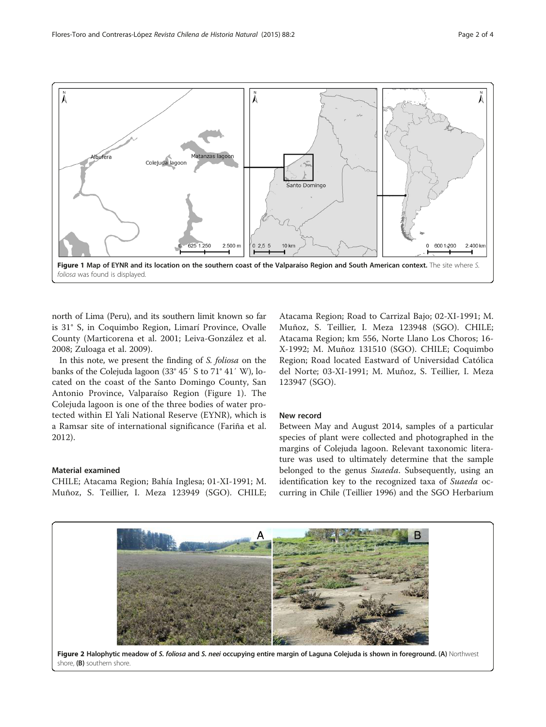<span id="page-1-0"></span>

north of Lima (Peru), and its southern limit known so far is 31° S, in Coquimbo Region, Limarí Province, Ovalle County (Marticorena et al. [2001](#page-2-0); Leiva-González et al. [2008;](#page-2-0) Zuloaga et al. [2009](#page-3-0)).

In this note, we present the finding of S. foliosa on the banks of the Colejuda lagoon (33° 45′ S to 71° 41′ W), located on the coast of the Santo Domingo County, San Antonio Province, Valparaíso Region (Figure 1). The Colejuda lagoon is one of the three bodies of water protected within El Yali National Reserve (EYNR), which is a Ramsar site of international significance (Fariña et al. [2012\)](#page-2-0).

## Material examined

CHILE; Atacama Region; Bahía Inglesa; 01-XI-1991; M. Muñoz, S. Teillier, I. Meza 123949 (SGO). CHILE;

Atacama Region; Road to Carrizal Bajo; 02-XI-1991; M. Muñoz, S. Teillier, I. Meza 123948 (SGO). CHILE; Atacama Region; km 556, Norte Llano Los Choros; 16- X-1992; M. Muñoz 131510 (SGO). CHILE; Coquimbo Region; Road located Eastward of Universidad Católica del Norte; 03-XI-1991; M. Muñoz, S. Teillier, I. Meza 123947 (SGO).

## New record

Between May and August 2014, samples of a particular species of plant were collected and photographed in the margins of Colejuda lagoon. Relevant taxonomic literature was used to ultimately determine that the sample belonged to the genus Suaeda. Subsequently, using an identification key to the recognized taxa of Suaeda occurring in Chile (Teillier [1996](#page-3-0)) and the SGO Herbarium

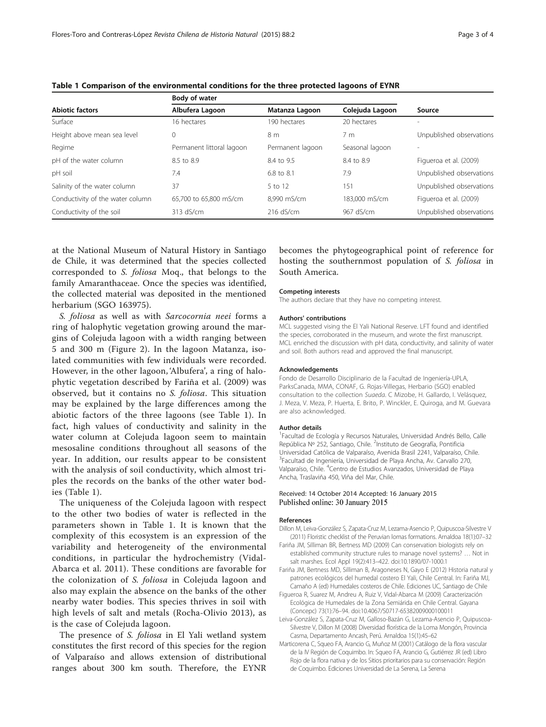Body of water

| <b>Abiotic factors</b>           | <b>body of water</b>      |                  |                 |                          |
|----------------------------------|---------------------------|------------------|-----------------|--------------------------|
|                                  | Albufera Lagoon           | Matanza Lagoon   | Colejuda Lagoon | Source                   |
| Surface                          | 16 hectares               | 190 hectares     | 20 hectares     | ÷                        |
| Height above mean sea level      | $\mathbf 0$               | 8 m              | 7 <sub>m</sub>  | Unpublished observations |
| Regime                           | Permanent littoral lagoon | Permanent lagoon | Seasonal lagoon |                          |
| pH of the water column           | 8.5 to 8.9                | 8.4 to 9.5       | 8.4 to 8.9      | Figueroa et al. (2009)   |
| pH soil                          | 7.4                       | 6.8 to 8.1       | 7.9             | Unpublished observations |
| Salinity of the water column     | 37                        | 5 to 12          | 151             | Unpublished observations |
| Conductivity of the water column | 65,700 to 65,800 mS/cm    | 8.990 mS/cm      | 183,000 mS/cm   | Figueroa et al. (2009)   |
| Conductivity of the soil         | 313 dS/cm                 | $216$ dS/cm      | 967 dS/cm       | Unpublished observations |

<span id="page-2-0"></span>Table 1 Comparison of the environmental conditions for the three protected lagoons of EYNR

at the National Museum of Natural History in Santiago de Chile, it was determined that the species collected corresponded to S. foliosa Moq., that belongs to the family Amaranthaceae. Once the species was identified, the collected material was deposited in the mentioned herbarium (SGO 163975).

S. foliosa as well as with Sarcocornia neei forms a ring of halophytic vegetation growing around the margins of Colejuda lagoon with a width ranging between 5 and 300 m (Figure [2\)](#page-1-0). In the lagoon Matanza, isolated communities with few individuals were recorded. However, in the other lagoon, 'Albufera', a ring of halophytic vegetation described by Fariña et al. (2009) was observed, but it contains no S. foliosa. This situation may be explained by the large differences among the abiotic factors of the three lagoons (see Table 1). In fact, high values of conductivity and salinity in the water column at Colejuda lagoon seem to maintain mesosaline conditions throughout all seasons of the year. In addition, our results appear to be consistent with the analysis of soil conductivity, which almost triples the records on the banks of the other water bodies (Table 1).

The uniqueness of the Colejuda lagoon with respect to the other two bodies of water is reflected in the parameters shown in Table 1. It is known that the complexity of this ecosystem is an expression of the variability and heterogeneity of the environmental conditions, in particular the hydrochemistry (Vidal-Abarca et al. [2011\)](#page-3-0). These conditions are favorable for the colonization of S. foliosa in Colejuda lagoon and also may explain the absence on the banks of the other nearby water bodies. This species thrives in soil with high levels of salt and metals (Rocha-Olivio [2013](#page-3-0)), as is the case of Colejuda lagoon.

The presence of *S. foliosa* in El Yali wetland system constitutes the first record of this species for the region of Valparaíso and allows extension of distributional ranges about 300 km south. Therefore, the EYNR

becomes the phytogeographical point of reference for hosting the southernmost population of S. foliosa in South America.

#### Competing interests

The authors declare that they have no competing interest.

#### Authors' contributions

MCL suggested vising the El Yali National Reserve. LFT found and identified the species, corroborated in the museum, and wrote the first manuscript. MCL enriched the discussion with pH data, conductivity, and salinity of water and soil. Both authors read and approved the final manuscript.

#### Acknowledgements

Fondo de Desarrollo Disciplinario de la Facultad de Ingeniería-UPLA, ParksCanada, MMA, CONAF, G. Rojas-Villegas, Herbario (SGO) enabled consultation to the collection Suaeda. C Mizobe, H. Gallardo, I. Velásquez, J. Meza, V. Meza, P. Huerta, E. Brito, P. Winckler, E. Quiroga, and M. Guevara are also acknowledged.

#### Author details

<sup>1</sup> Facultad de Ecología y Recursos Naturales, Universidad Andrés Bello, Calle República Nº 252, Santiago, Chile. <sup>2</sup>Instituto de Geografía, Pontificia Universidad Católica de Valparaíso, Avenida Brasil 2241, Valparaíso, Chile. 3 Facultad de Ingeniería, Universidad de Playa Ancha, Av. Carvallo 270, Valparaíso, Chile. <sup>4</sup>Centro de Estudios Avanzados, Universidad de Playa Ancha, Traslaviña 450, Viña del Mar, Chile.

### Received: 14 October 2014 Accepted: 16 January 2015 Published online: 30 January 2015

#### References

- Dillon M, Leiva-González S, Zapata-Cruz M, Lezama-Asencio P, Quipuscoa-Silvestre V (2011) Floristic checklist of the Peruvian lomas formations. Arnaldoa 18(1):07–32
- Fariña JM, Silliman BR, Bertness MD (2009) Can conservation biologists rely on established community structure rules to manage novel systems? … Not in salt marshes. Ecol Appl 19(2):413–422. doi:10.1890/07-1000.1
- Fariña JM, Bertness MD, Silliman B, Aragoneses N, Gayo E (2012) Historia natural y patrones ecológicos del humedal costero El Yali, Chile Central. In: Fariña MJ, Camaño A (ed) Humedales costeros de Chile. Ediciones UC, Santiago de Chile
- Figueroa R, Suarez M, Andreu A, Ruiz V, Vidal-Abarca M (2009) Caracterización Ecológica de Humedales de la Zona Semiárida en Chile Central. Gayana (Concepc) 73(1):76–94. doi:10.4067/S0717-65382009000100011
- Leiva-González S, Zapata-Cruz M, Galloso-Bazán G, Lezama-Asencio P, Quipuscoa-Silvestre V, Dillon M (2008) Diversidad florística de la Loma Mongón, Provincia Casma, Departamento Ancash, Perú. Arnaldoa 15(1):45–62
- Marticorena C, Squeo FA, Arancio G, Muñoz M (2001) Catálogo de la flora vascular de la IV Región de Coquimbo. In: Squeo FA, Arancio G, Gutiérrez JR (ed) Libro Rojo de la flora nativa y de los Sitios prioritarios para su conservación: Región de Coquimbo. Ediciones Universidad de La Serena, La Serena